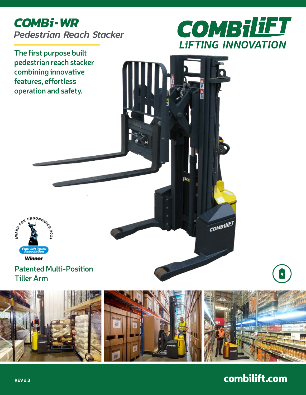# *COMBi-WR Pedestrian Reach Stacker*



**The first purpose built pedestrian reach stacker combining innovative features, effortless operation and safety.**



### **Patented Multi-Position Tiller Arm**



п.

**COMBILIET** 

combilift.com

 $\left| \boldsymbol{\mathsf{H}} \right|$